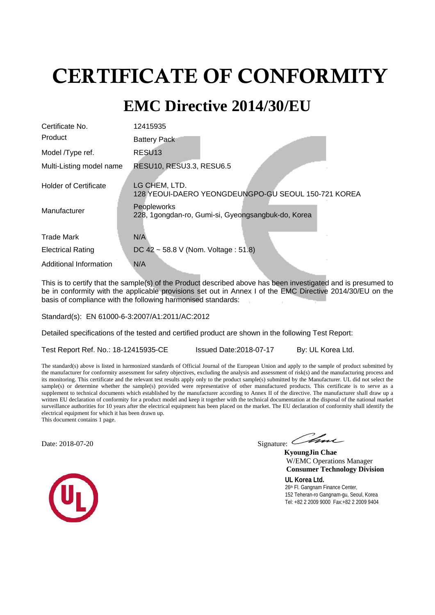# CERTIFICATE OF CONFORMITY

# **EMC Directive 2014/30/EU**

| 12415935                                                             |
|----------------------------------------------------------------------|
| <b>Battery Pack</b>                                                  |
| RESU <sub>13</sub>                                                   |
| RESU10, RESU3.3, RESU6.5                                             |
| LG CHEM, LTD.<br>128 YEOUI-DAERO YEONGDEUNGPO-GU SEOUL 150-721 KOREA |
| Peopleworks<br>228, 1gongdan-ro, Gumi-si, Gyeongsangbuk-do, Korea    |
| N/A                                                                  |
| DC 42 ~ 58.8 V (Nom. Voltage : 51.8)                                 |
| N/A                                                                  |
|                                                                      |

This is to certify that the sample(s) of the Product described above has been investigated and is presumed to be in conformity with the applicable provisions set out in Annex I of the EMC Directive 2014/30/EU on the basis of compliance with the following harmonised standards:

Standard(s): EN 61000-6-3:2007/A1:2011/AC:2012

Detailed specifications of the tested and certified product are shown in the following Test Report:

Test Report Ref. No.: 18-12415935-CE Issued Date: 2018-07-17 By: UL Korea Ltd.

The standard(s) above is listed in harmonized standards of Official Journal of the European Union and apply to the sample of product submitted by the manufacturer for conformity assessment for safety objectives, excluding the analysis and assessment of risk(s) and the manufacturing process and its monitoring. This certificate and the relevant test results apply only to the product sample(s) submitted by the Manufacturer. UL did not select the sample(s) or determine whether the sample(s) provided were representative of other manufactured products. This certificate is to serve as a supplement to technical documents which established by the manufacturer according to Annex II of the directive. The manufacturer shall draw up a written EU declaration of conformity for a product model and keep it together with the technical documentation at the disposal of the national market surveillance authorities for 10 years after the electrical equipment has been placed on the market. The EU declaration of conformity shall identify the electrical equipment for which it has been drawn up.

This document contains 1 page.

Date: 2018-07-20 Signature: Signature: Signature: Signature: Signature: Signature: Signature: Signature: Signature: Signature: Signature: Signature: Signature: Signature: Signature: Signature: Signature: Signature: Signatu

 **KyoungJin Chae** W/EMC Operations Manager  **Consumer Technology Division**

**UL Korea Ltd.** 26<sup>th</sup> Fl. Gangnam Finance Center, 152 Teheran-ro Gangnam-gu, Seoul, Korea Tel: +82 2 2009 9000 Fax:+82 2 2009 9404

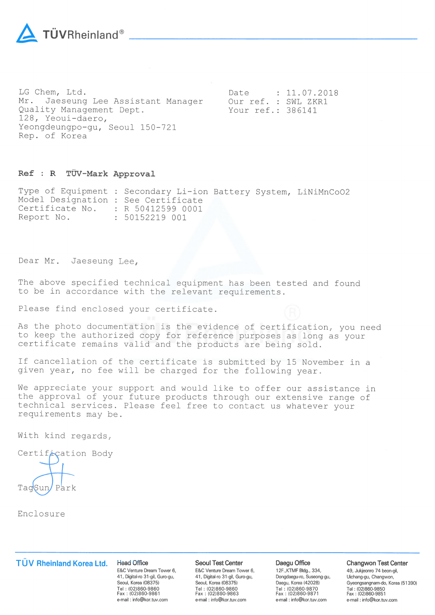

LG Chem, Ltd. Mr. Jaeseung Lee Assistant Manager Quality Management Dept. 128, Yeoui-daero, Yeongdeungpo-gu, Seoul 150-721 Rep. of Korea

 $: 11.07.2018$ Date Our ref. : SWL ZKR1 Your ref.: 386141

#### Ref : R TÜV-Mark Approval

Type of Equipment : Secondary Li-ion Battery System, LiNiMnCoO2 Model Designation : See Certificate Certificate No. : R 50412599 0001 Report No. : 50152219 001

Dear Mr. Jaeseung Lee,

The above specified technical equipment has been tested and found to be in accordance with the relevant requirements.

Please find enclosed your certificate.

As the photo documentation is the evidence of certification, you need to keep the authorized copy for reference purposes as long as your certificate remains valid and the products are being sold.

If cancellation of the certificate is submitted by 15 November in a given year, no fee will be charged for the following year.

We appreciate your support and would like to offer our assistance in the approval of your future products through our extensive range of technical services. Please feel free to contact us whatever your requirements may be.

With kind regards,

Certification Body

Park

Enclosure

## TÜV Rheinland Korea Ltd.

**Head Office** E&C Venture Dream Tower 6, 41, Digital-ro 31-gil, Guro-gu, Seoul, Korea (08375) Tel: (02)860-9860<br>Fax: (02)860-9861 e-mail: info@kor.tuv.com

#### **Seoul Test Center**

E&C Venture Dream Tower 6, 41, Digital-ro 31-gil, Guro-gu, Seoul, Korea (08375) Tel: (02)860-9860<br>Fax: (02)860-9863 e-mail: info@kor.tuv.com

#### Daegu Office

12F., KTMF Bldg., 334, Dongdaegu-ro, Suseong-gu, Daegu, Korea (42028) Tel: (02)860-9870<br>Fax: (02)860-9871 e-mail: info@kor.tuv.com

#### Changwon Test Center

49, Jukjeonro 74 beon-gil, Uichang-gu, Changwon, Gyeongsangnam-do, Korea (51390) Tel: (02)860-9850 Fax: (02)860-9851 e-mail: info@kor.tuv.com